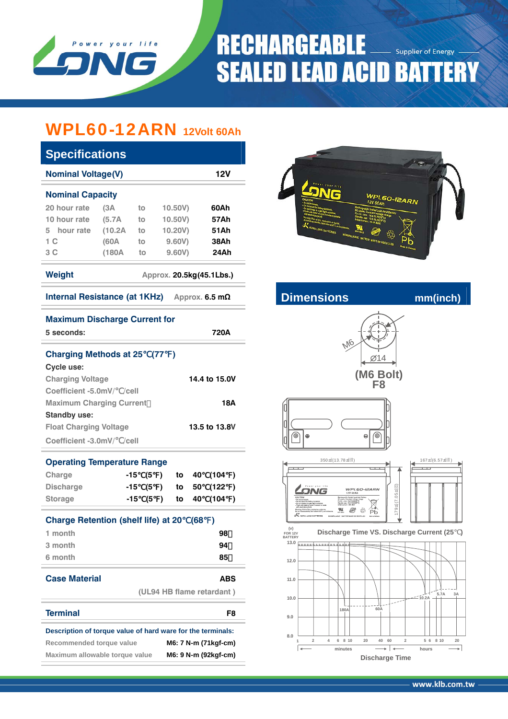

# **RECHARGEABLE** Supplier of Energy **SEALED LEAD ACID BATTERY**

### WPL60-12ARN **12Volt 60Ah**

| <b>Specifications</b>                           |                                  |    |         |        |  |  |  |  |  |
|-------------------------------------------------|----------------------------------|----|---------|--------|--|--|--|--|--|
|                                                 | 12V<br><b>Nominal Voltage(V)</b> |    |         |        |  |  |  |  |  |
| <b>Nominal Capacity</b>                         |                                  |    |         |        |  |  |  |  |  |
| 20 hour rate                                    | (3A                              | to | 10,50V  | 60Ah   |  |  |  |  |  |
| 10 hour rate                                    | (5.7A)                           | to | 10.50V) | 57Ah   |  |  |  |  |  |
| 5 hour rate                                     | (10.2A)                          | to | 10.20V) | 51 A h |  |  |  |  |  |
| 1 C                                             | (60A)                            | to | 9,60V   | 38Ah   |  |  |  |  |  |
| 3 C                                             | (180A                            | to | 9,60V   | 24Ah   |  |  |  |  |  |
| Weight<br>Approx. 20.5kg(45.1Lbs.)              |                                  |    |         |        |  |  |  |  |  |
| Internal Resistance (at 1KHz)<br>Approx. 6.5 mΩ |                                  |    |         |        |  |  |  |  |  |

| <b>Maximum Discharge Current for</b><br>5 seconds:          |     |     |           |              |     | 720A                      |               |
|-------------------------------------------------------------|-----|-----|-----------|--------------|-----|---------------------------|---------------|
| <b>Charging Methods at 25</b>                               |     |     | (77       | <sup>1</sup> |     |                           |               |
| Cycle use:                                                  |     |     |           |              |     |                           |               |
| <b>Charging Voltage</b>                                     |     |     |           |              |     | 14.4 to 15.0V             |               |
| Coefficient -5.0mV/ /cell                                   |     |     |           |              |     |                           |               |
| <b>Maximum Charging Current</b>                             |     |     |           |              |     |                           | 18A           |
| <b>Standby use:</b>                                         |     |     |           |              |     |                           |               |
| <b>Float Charging Voltage</b>                               |     |     |           |              |     | 13.5 to 13.8V             |               |
| Coefficient -3.0mV/ /cell                                   |     |     |           |              |     |                           |               |
|                                                             |     |     |           |              |     |                           |               |
| <b>Operating Temperature Range</b><br><b>Charge</b>         | -15 | (5  | $\lambda$ | to           | 40  | (104                      | )             |
| <b>Discharge</b>                                            | -15 | (5) |           | to           | 50  | (122                      | $\mathcal{E}$ |
| <b>Storage</b>                                              | -15 | (5) |           | to           | 40  | (104                      | $\lambda$     |
|                                                             |     |     |           |              |     |                           |               |
| <b>Charge Retention (shelf life) at 20</b>                  |     |     |           |              | (68 | $\lambda$                 |               |
| 1 month                                                     |     |     |           |              |     | 98                        |               |
| 3 month                                                     |     |     |           |              |     | 94                        |               |
| 6 month                                                     |     |     |           |              |     | 85                        |               |
| <b>Case Material</b>                                        |     |     |           |              |     | <b>ABS</b>                |               |
|                                                             |     |     |           |              |     | (UL94 HB flame retardant) |               |
| <b>Terminal</b>                                             |     |     |           |              |     |                           | F8            |
| Description of torque value of hard ware for the terminals: |     |     |           |              |     |                           |               |
| Recommended torque value                                    |     |     |           |              |     | M6: 7 N-m (71kgf-cm)      |               |
| Maximum allowable torque value                              |     |     |           |              |     | M6: 9 N-m (92kgf-cm)      |               |



**Internal Resistance (at 1THz) Approximate** mm(inch)